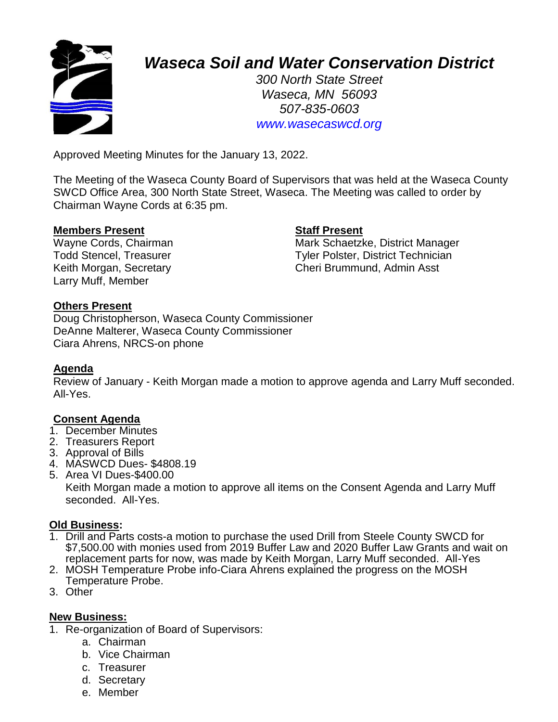

# *Waseca Soil and Water Conservation District*

*300 North State Street Waseca, MN 56093 507-835-0603 www.wasecaswcd.org*

Approved Meeting Minutes for the January 13, 2022.

The Meeting of the Waseca County Board of Supervisors that was held at the Waseca County SWCD Office Area, 300 North State Street, Waseca. The Meeting was called to order by Chairman Wayne Cords at 6:35 pm.

#### **Members Present Staff Present**

Larry Muff, Member

Wayne Cords, Chairman Mark Schaetzke, District Manager Todd Stencel, Treasurer Tyler Polster, District Technician Keith Morgan, Secretary **Cheri Brummund, Admin Asst** 

#### **Others Present**

Doug Christopherson, Waseca County Commissioner DeAnne Malterer, Waseca County Commissioner Ciara Ahrens, NRCS-on phone

#### **Agenda**

Review of January - Keith Morgan made a motion to approve agenda and Larry Muff seconded. All-Yes.

#### **Consent Agenda**

- 1. December Minutes
- 2. Treasurers Report
- 3. Approval of Bills
- 4. MASWCD Dues- \$4808.19
- 5. Area VI Dues-\$400.00

Keith Morgan made a motion to approve all items on the Consent Agenda and Larry Muff seconded. All-Yes.

#### **Old Business:**

- 1. Drill and Parts costs-a motion to purchase the used Drill from Steele County SWCD for \$7,500.00 with monies used from 2019 Buffer Law and 2020 Buffer Law Grants and wait on replacement parts for now, was made by Keith Morgan, Larry Muff seconded. All-Yes
- 2. MOSH Temperature Probe info-Ciara Ahrens explained the progress on the MOSH Temperature Probe.
- 3. Other

#### **New Business:**

- 1. Re-organization of Board of Supervisors:
	- a. Chairman
	- b. Vice Chairman
	- c. Treasurer
	- d. Secretary
	- e. Member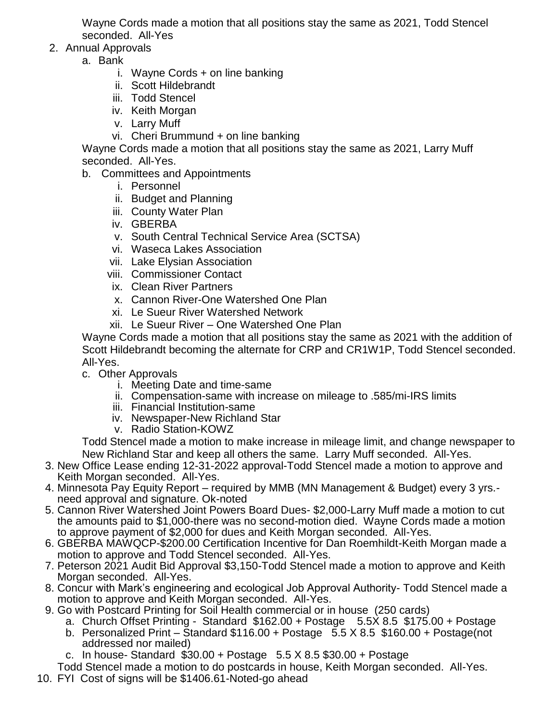Wayne Cords made a motion that all positions stay the same as 2021, Todd Stencel seconded. All-Yes

- 2. Annual Approvals
	- a. Bank
		- i. Wayne Cords + on line banking
		- ii. Scott Hildebrandt
		- iii. Todd Stencel
		- iv. Keith Morgan
		- v. Larry Muff
		- vi. Cheri Brummund + on line banking

Wayne Cords made a motion that all positions stay the same as 2021, Larry Muff seconded. All-Yes.

- b. Committees and Appointments
	- i. Personnel
	- ii. Budget and Planning
	- iii. County Water Plan
	- iv. GBERBA
	- v. South Central Technical Service Area (SCTSA)
	- vi. Waseca Lakes Association
	- vii. Lake Elysian Association
	- viii. Commissioner Contact
	- ix. Clean River Partners
	- x. Cannon River-One Watershed One Plan
	- xi. Le Sueur River Watershed Network
	- xii. Le Sueur River One Watershed One Plan

Wayne Cords made a motion that all positions stay the same as 2021 with the addition of Scott Hildebrandt becoming the alternate for CRP and CR1W1P, Todd Stencel seconded. All-Yes.

- c. Other Approvals
	- i. Meeting Date and time-same
	- ii. Compensation-same with increase on mileage to .585/mi-IRS limits
	- iii. Financial Institution-same
	- iv. Newspaper-New Richland Star
	- v. Radio Station-KOWZ

Todd Stencel made a motion to make increase in mileage limit, and change newspaper to New Richland Star and keep all others the same. Larry Muff seconded. All-Yes.

- 3. New Office Lease ending 12-31-2022 approval-Todd Stencel made a motion to approve and Keith Morgan seconded. All-Yes.
- 4. Minnesota Pay Equity Report required by MMB (MN Management & Budget) every 3 yrs. need approval and signature. Ok-noted
- 5. Cannon River Watershed Joint Powers Board Dues- \$2,000-Larry Muff made a motion to cut the amounts paid to \$1,000-there was no second-motion died. Wayne Cords made a motion to approve payment of \$2,000 for dues and Keith Morgan seconded. All-Yes.
- 6. GBERBA MAWQCP-\$200.00 Certification Incentive for Dan Roemhildt-Keith Morgan made a motion to approve and Todd Stencel seconded. All-Yes.
- 7. Peterson 2021 Audit Bid Approval \$3,150-Todd Stencel made a motion to approve and Keith Morgan seconded. All-Yes.
- 8. Concur with Mark's engineering and ecological Job Approval Authority- Todd Stencel made a motion to approve and Keith Morgan seconded. All-Yes.
- 9. Go with Postcard Printing for Soil Health commercial or in house (250 cards)
	- a. Church Offset Printing Standard  $$162.00 + Post$ age  $5.5\overline{\smash{\times}} 8.5 \overline{\smash{\times}} 175.00 + Post$ age
	- b. Personalized Print Standard \$116.00 + Postage 5.5 X 8.5 \$160.00 + Postage(not addressed nor mailed)
	- c. In house- Standard \$30.00 + Postage 5.5 X 8.5 \$30.00 + Postage

Todd Stencel made a motion to do postcards in house, Keith Morgan seconded. All-Yes.

10. FYI Cost of signs will be \$1406.61-Noted-go ahead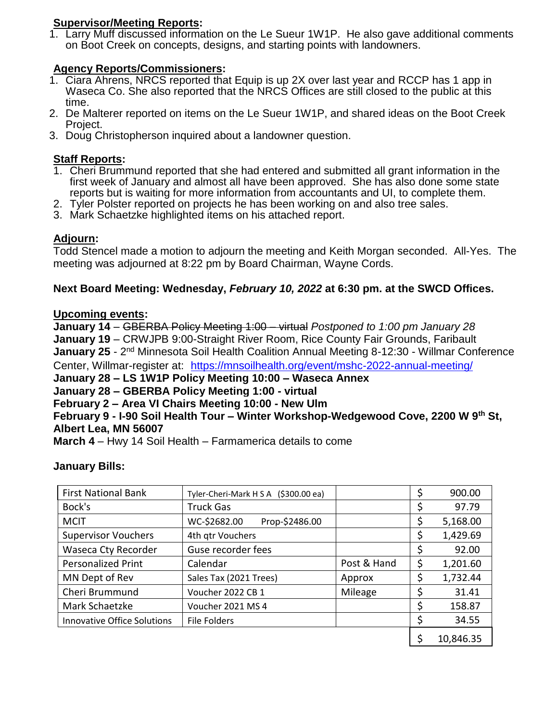#### **Supervisor/Meeting Reports:**

1. Larry Muff discussed information on the Le Sueur 1W1P. He also gave additional comments on Boot Creek on concepts, designs, and starting points with landowners.

#### **Agency Reports/Commissioners:**

- 1. Ciara Ahrens, NRCS reported that Equip is up 2X over last year and RCCP has 1 app in Waseca Co. She also reported that the NRCS Offices are still closed to the public at this time.
- 2. De Malterer reported on items on the Le Sueur 1W1P, and shared ideas on the Boot Creek Project.
- 3. Doug Christopherson inquired about a landowner question.

#### **Staff Reports:**

- 1. Cheri Brummund reported that she had entered and submitted all grant information in the first week of January and almost all have been approved. She has also done some state reports but is waiting for more information from accountants and UI, to complete them.
- 2. Tyler Polster reported on projects he has been working on and also tree sales.
- 3. Mark Schaetzke highlighted items on his attached report.

### **Adjourn:**

Todd Stencel made a motion to adjourn the meeting and Keith Morgan seconded. All-Yes. The meeting was adjourned at 8:22 pm by Board Chairman, Wayne Cords.

#### **Next Board Meeting: Wednesday,** *February 10, 2022* **at 6:30 pm. at the SWCD Offices.**

#### **Upcoming events:**

**January 14** – GBERBA Policy Meeting 1:00 – virtual *Postponed to 1:00 pm January 28* **January 19** – CRWJPB 9:00-Straight River Room, Rice County Fair Grounds, Faribault January 25 - 2<sup>nd</sup> Minnesota Soil Health Coalition Annual Meeting 8-12:30 - Willmar Conference Center, Willmar-register at: <https://mnsoilhealth.org/event/mshc-2022-annual-meeting/>

**January 28 – LS 1W1P Policy Meeting 10:00 – Waseca Annex**

## **January 28 – GBERBA Policy Meeting 1:00 - virtual**

#### **February 2 – Area VI Chairs Meeting 10:00 - New Ulm**

**February 9 - I-90 Soil Health Tour – Winter Workshop-Wedgewood Cove, 2200 W 9th St, Albert Lea, MN 56007**

**March 4** – Hwy 14 Soil Health – Farmamerica details to come

#### **January Bills:**

| <b>First National Bank</b>         | Tyler-Cheri-Mark H S A (\$300.00 ea) |             | \$ | 900.00    |
|------------------------------------|--------------------------------------|-------------|----|-----------|
| Bock's                             | <b>Truck Gas</b>                     |             |    | 97.79     |
| <b>MCIT</b>                        | WC-\$2682.00<br>Prop-\$2486.00       |             |    | 5,168.00  |
| <b>Supervisor Vouchers</b>         | 4th qtr Vouchers                     |             | Ş  | 1,429.69  |
| Waseca Cty Recorder                | Guse recorder fees                   |             |    | 92.00     |
| <b>Personalized Print</b>          | Calendar                             | Post & Hand | \$ | 1,201.60  |
| MN Dept of Rev                     | Sales Tax (2021 Trees)               | Approx      | \$ | 1,732.44  |
| Cheri Brummund                     | Voucher 2022 CB 1                    | Mileage     |    | 31.41     |
| Mark Schaetzke                     | Voucher 2021 MS 4                    |             |    | 158.87    |
| <b>Innovative Office Solutions</b> | <b>File Folders</b>                  |             | \$ | 34.55     |
|                                    |                                      |             |    | 10,846.35 |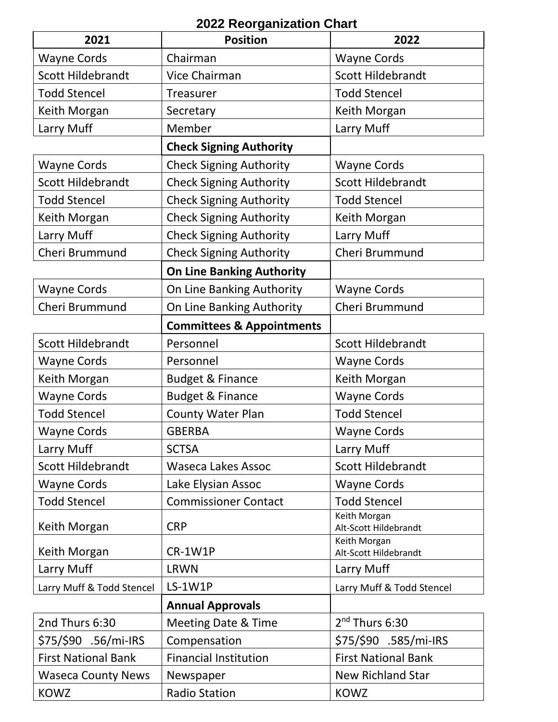## **2022 Reorganization Chart**

| 2021                       | <b>Position</b>                      | 2022                                  |  |
|----------------------------|--------------------------------------|---------------------------------------|--|
| <b>Wayne Cords</b>         | Chairman                             | <b>Wayne Cords</b>                    |  |
| <b>Scott Hildebrandt</b>   | Vice Chairman                        | <b>Scott Hildebrandt</b>              |  |
| <b>Todd Stencel</b>        | Treasurer                            | <b>Todd Stencel</b>                   |  |
| Keith Morgan               | Secretary                            | Keith Morgan                          |  |
| Larry Muff                 | Member                               | Larry Muff                            |  |
|                            | <b>Check Signing Authority</b>       |                                       |  |
| <b>Wayne Cords</b>         | <b>Check Signing Authority</b>       | <b>Wayne Cords</b>                    |  |
| <b>Scott Hildebrandt</b>   | <b>Check Signing Authority</b>       | <b>Scott Hildebrandt</b>              |  |
| <b>Todd Stencel</b>        | <b>Check Signing Authority</b>       | <b>Todd Stencel</b>                   |  |
| Keith Morgan               | <b>Check Signing Authority</b>       | Keith Morgan                          |  |
| Larry Muff                 | <b>Check Signing Authority</b>       | Larry Muff                            |  |
| Cheri Brummund             | <b>Check Signing Authority</b>       | Cheri Brummund                        |  |
|                            | <b>On Line Banking Authority</b>     |                                       |  |
| <b>Wayne Cords</b>         | On Line Banking Authority            | <b>Wayne Cords</b>                    |  |
| Cheri Brummund             | On Line Banking Authority            | Cheri Brummund                        |  |
|                            | <b>Committees &amp; Appointments</b> |                                       |  |
| <b>Scott Hildebrandt</b>   | Personnel                            | <b>Scott Hildebrandt</b>              |  |
| <b>Wayne Cords</b>         | Personnel                            | <b>Wayne Cords</b>                    |  |
| Keith Morgan               | <b>Budget &amp; Finance</b>          | Keith Morgan                          |  |
| <b>Wayne Cords</b>         | <b>Budget &amp; Finance</b>          | <b>Wayne Cords</b>                    |  |
| <b>Todd Stencel</b>        | <b>County Water Plan</b>             | <b>Todd Stencel</b>                   |  |
| <b>Wayne Cords</b>         | <b>GBERBA</b>                        | <b>Wayne Cords</b>                    |  |
| Larry Muff                 | <b>SCTSA</b>                         | Larry Muff                            |  |
| <b>Scott Hildebrandt</b>   | <b>Waseca Lakes Assoc</b>            | <b>Scott Hildebrandt</b>              |  |
| <b>Wayne Cords</b>         | Lake Elysian Assoc                   | <b>Wayne Cords</b>                    |  |
| <b>Todd Stencel</b>        | <b>Commissioner Contact</b>          | <b>Todd Stencel</b>                   |  |
| Keith Morgan               | <b>CRP</b>                           | Keith Morgan<br>Alt-Scott Hildebrandt |  |
|                            |                                      | Keith Morgan                          |  |
| Keith Morgan               | CR-1W1P                              | Alt-Scott Hildebrandt                 |  |
| Larry Muff                 | <b>LRWN</b>                          | Larry Muff                            |  |
| Larry Muff & Todd Stencel  | <b>LS-1W1P</b>                       | Larry Muff & Todd Stencel             |  |
|                            | <b>Annual Approvals</b>              |                                       |  |
| 2nd Thurs 6:30             | <b>Meeting Date &amp; Time</b>       | $2nd$ Thurs 6:30                      |  |
| \$75/\$90 .56/mi-IRS       | Compensation                         | \$75/\$90 .585/mi-IRS                 |  |
| <b>First National Bank</b> | <b>Financial Institution</b>         | <b>First National Bank</b>            |  |
| <b>Waseca County News</b>  | Newspaper                            | New Richland Star                     |  |
| <b>KOWZ</b>                | <b>Radio Station</b>                 | <b>KOWZ</b>                           |  |